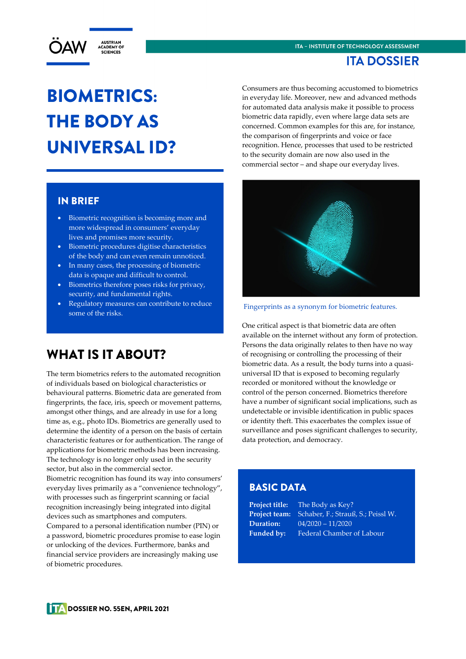



# BIOMETRICS: THE BODY AS UNIVERSAL ID?

#### IN BRIEF

- Biometric recognition is becoming more and more widespread in consumers' everyday lives and promises more security.
- Biometric procedures digitise characteristics of the body and can even remain unnoticed.
- In many cases, the processing of biometric data is opaque and difficult to control.
- Biometrics therefore poses risks for privacy, security, and fundamental rights.
- Regulatory measures can contribute to reduce some of the risks.

### WHAT IS IT ABOUT?

The term biometrics refers to the automated recognition of individuals based on biological characteristics or behavioural patterns. Biometric data are generated from fingerprints, the face, iris, speech or movement patterns, amongst other things, and are already in use for a long time as, e.g., photo IDs. Biometrics are generally used to determine the identity of a person on the basis of certain characteristic features or for authentication. The range of applications for biometric methods has been increasing. The technology is no longer only used in the security sector, but also in the commercial sector. Biometric recognition has found its way into consumers' everyday lives primarily as a "convenience technology", with processes such as fingerprint scanning or facial recognition increasingly being integrated into digital devices such as smartphones and computers. Compared to a personal identification number (PIN) or a password, biometric procedures promise to ease login or unlocking of the devices. Furthermore, banks and financial service providers are increasingly making use of biometric procedures.

Consumers are thus becoming accustomed to biometrics in everyday life. Moreover, new and advanced methods for automated data analysis make it possible to process biometric data rapidly, even where large data sets are concerned. Common examples for this are, for instance, the comparison of fingerprints and voice or face recognition. Hence, processes that used to be restricted to the security domain are now also used in the commercial sector – and shape our everyday lives.



Fingerprints as a synonym for biometric features.

One critical aspect is that biometric data are often available on the internet without any form of protection. Persons the data originally relates to then have no way of recognising or controlling the processing of their biometric data. As a result, the body turns into a quasiuniversal ID that is exposed to becoming regularly recorded or monitored without the knowledge or control of the person concerned. Biometrics therefore have a number of significant social implications, such as undetectable or invisible identification in public spaces or identity theft. This exacerbates the complex issue of surveillance and poses significant challenges to security, data protection, and democracy.

#### BASIC DATA

**Project title:** The Body as Key? **Project team:** Schaber, F.; Strauß, S.; Peissl W. **Duration:** 04/2020 – 11/2020 **Funded by:** Federal Chamber of Labour